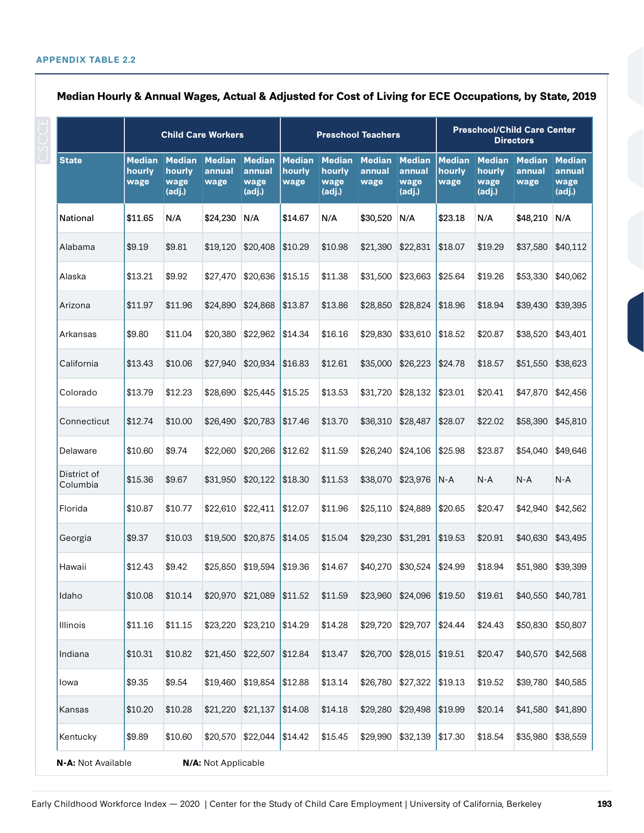|                         |                                 | <b>Child Care Workers</b>                 |                                 |                                           | <b>Preschool Teachers</b>       |                                           |                                 |                          | <b>Preschool/Child Care Center</b><br><b>Directors</b> |                          |                                 |                                           |
|-------------------------|---------------------------------|-------------------------------------------|---------------------------------|-------------------------------------------|---------------------------------|-------------------------------------------|---------------------------------|--------------------------|--------------------------------------------------------|--------------------------|---------------------------------|-------------------------------------------|
| <b>State</b>            | <b>Median</b><br>hourly<br>wage | <b>Median</b><br>hourly<br>wage<br>(adj.) | <b>Median</b><br>annual<br>wage | <b>Median</b><br>annual<br>wage<br>(adj.) | <b>Median</b><br>hourly<br>wage | <b>Median</b><br>hourly<br>wage<br>(adj.) | Median Median<br>annual<br>wage | annual<br>wage<br>(adj.) | <b>Median</b><br>hourly<br>wage                        | hourly<br>wage<br>(adj.) | Median Median<br>annual<br>wage | <b>Median</b><br>annual<br>wage<br>(adj.) |
| National                | \$11.65                         | N/A                                       | \$24,230                        | N/A                                       | \$14.67                         | N/A                                       | \$30,520                        | N/A                      | \$23.18                                                | N/A                      | \$48,210                        | N/A                                       |
| Alabama                 | \$9.19                          | \$9.81                                    | \$19.120                        | \$20,408                                  | \$10.29                         | \$10.98                                   | \$21,390                        | \$22,831                 | \$18.07                                                | \$19.29                  | \$37,580                        | \$40,112                                  |
| Alaska                  | \$13.21                         | \$9.92                                    | \$27,470                        | \$20,636                                  | \$15.15                         | \$11.38                                   | \$31,500                        | \$23,663                 | \$25.64                                                | \$19.26                  | \$53,330                        | \$40,062                                  |
| Arizona                 | \$11.97                         | \$11.96                                   | \$24,890                        | \$24,868                                  | \$13.87                         | \$13.86                                   | \$28,850                        | \$28,824                 | \$18.96                                                | \$18.94                  | \$39,430                        | \$39,395                                  |
| Arkansas                | \$9.80                          | \$11.04                                   | \$20,380                        | \$22,962                                  | \$14.34                         | \$16.16                                   | \$29,830                        | \$33,610                 | \$18.52                                                | \$20.87                  | \$38,520                        | \$43,401                                  |
| California              | \$13.43                         | \$10.06                                   | \$27,940                        | \$20,934                                  | \$16.83                         | \$12.61                                   | \$35,000                        | \$26,223                 | \$24.78                                                | \$18.57                  | \$51,550                        | \$38,623                                  |
| Colorado                | \$13.79                         | \$12.23                                   | \$28,690                        | \$25,445                                  | \$15.25                         | \$13.53                                   | \$31,720                        | \$28,132                 | \$23.01                                                | \$20.41                  | \$47,870                        | \$42,456                                  |
| Connecticut             | \$12.74                         | \$10.00                                   | \$26,490                        | \$20,783                                  | \$17.46                         | \$13.70                                   | \$36,310                        | \$28,487                 | \$28.07                                                | \$22.02                  | \$58,390                        | \$45,810                                  |
| Delaware                | \$10.60                         | \$9.74                                    | \$22,060                        | \$20,266                                  | \$12.62                         | \$11.59                                   | \$26,240                        | \$24,106                 | \$25.98                                                | \$23.87                  | \$54,040                        | \$49,646                                  |
| District of<br>Columbia | \$15.36                         | \$9.67                                    | \$31,950                        | \$20,122                                  | \$18.30                         | \$11.53                                   | \$38,070                        | \$23,976                 | N-A                                                    | $N-A$                    | $N-A$                           | $N-A$                                     |
| Florida                 | \$10.87                         | \$10.77                                   | \$22,610                        | \$22,411                                  | \$12.07                         | \$11.96                                   | \$25,110                        | \$24,889                 | \$20.65                                                | \$20.47                  | \$42,940                        | \$42,562                                  |
| Georgia                 | \$9.37                          | \$10.03                                   | \$19,500                        | \$20,875                                  | \$14.05                         | \$15.04                                   | \$29,230                        | \$31,291                 | \$19.53                                                | \$20.91                  | \$40,630                        | \$43,495                                  |
| Hawaii                  | \$12.43                         | \$9.42                                    | \$25,850                        | \$19,594                                  | \$19.36                         | \$14.67                                   | \$40,270                        | \$30.524                 | \$24.99                                                | \$18.94                  | \$51,980                        | \$39,399                                  |
| Idaho                   | \$10.08                         | \$10.14                                   |                                 | \$20,970 \$21,089                         | \$11.52                         | \$11.59                                   | \$23,960                        | \$24,096                 | \$19.50                                                | \$19.61                  | \$40,550                        | \$40,781                                  |
| <b>Illinois</b>         | \$11.16                         | \$11.15                                   | \$23,220                        | \$23,210                                  | \$14.29                         | \$14.28                                   | \$29,720                        | \$29,707                 | \$24.44                                                | \$24.43                  | \$50,830                        | \$50,807                                  |
| Indiana                 | \$10.31                         | \$10.82                                   |                                 | \$21,450 \$22,507                         | \$12.84                         | \$13.47                                   | \$26,700                        | \$28,015                 | \$19.51                                                | \$20.47                  | \$40,570                        | \$42,568                                  |
| lowa                    | \$9.35                          | \$9.54                                    | \$19,460                        | \$19,854                                  | \$12.88                         | \$13.14                                   | \$26,780                        | \$27,322                 | \$19.13                                                | \$19.52                  | \$39,780                        | \$40,585                                  |
| Kansas                  | \$10.20                         | \$10.28                                   |                                 | \$21,220 \$21,137                         | \$14.08                         | \$14.18                                   | \$29,280                        | \$29,498                 | \$19.99                                                | \$20.14                  | \$41,580                        | \$41,890                                  |
| Kentucky                | \$9.89                          | \$10.60                                   |                                 | \$20,570 \$22,044                         | \$14.42                         | \$15.45                                   | \$29,990                        | \$32,139                 | \$17.30                                                | \$18.54                  | \$35,980                        | \$38,559                                  |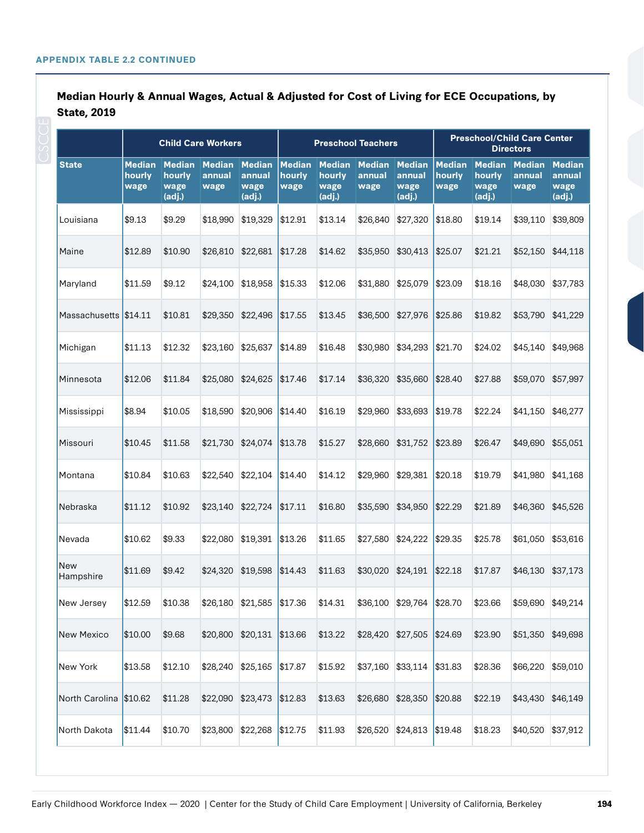|                        | <b>Child Care Workers</b>       |                                           |                                 |                                           | <b>Preschool Teachers</b>       |                                           |                                 |                                           | <b>Preschool/Child Care Center</b><br><b>Directors</b> |                          |                                 |                                           |
|------------------------|---------------------------------|-------------------------------------------|---------------------------------|-------------------------------------------|---------------------------------|-------------------------------------------|---------------------------------|-------------------------------------------|--------------------------------------------------------|--------------------------|---------------------------------|-------------------------------------------|
| <b>State</b>           | <b>Median</b><br>hourly<br>wage | <b>Median</b><br>hourly<br>wage<br>(adj.) | <b>Median</b><br>annual<br>wage | <b>Median</b><br>annual<br>wage<br>(adj.) | <b>Median</b><br>hourly<br>wage | <b>Median</b><br>hourly<br>wage<br>(adj.) | <b>Median</b><br>annual<br>wage | <b>Median</b><br>annual<br>wage<br>(adj.) | <b>Median</b><br>hourly<br>wage                        | hourly<br>wage<br>(adj.) | Median Median<br>annual<br>wage | <b>Median</b><br>annual<br>wage<br>(adj.) |
| Louisiana              | \$9.13                          | \$9.29                                    | \$18,990                        | \$19,329                                  | \$12.91                         | \$13.14                                   | \$26,840                        | \$27,320                                  | \$18.80                                                | \$19.14                  | \$39,110                        | \$39,809                                  |
| Maine                  | \$12.89                         | \$10.90                                   | \$26,810                        | \$22,681                                  | \$17.28                         | \$14.62                                   | \$35,950                        | \$30,413                                  | \$25.07                                                | \$21.21                  | \$52,150                        | \$44,118                                  |
| Maryland               | \$11.59                         | \$9.12                                    | \$24,100                        | \$18,958                                  | \$15.33                         | \$12.06                                   | \$31,880                        | \$25,079                                  | \$23.09                                                | \$18.16                  | \$48,030                        | \$37,783                                  |
| Massachusetts          | \$14.11                         | \$10.81                                   | \$29,350                        | \$22,496                                  | \$17.55                         | \$13.45                                   | \$36,500                        | \$27,976                                  | \$25.86                                                | \$19.82                  | \$53,790                        | \$41,229                                  |
| Michigan               | \$11.13                         | \$12.32                                   | \$23,160                        | \$25,637                                  | \$14.89                         | \$16.48                                   | \$30,980                        | \$34,293                                  | \$21.70                                                | \$24.02                  | \$45,140                        | \$49,968                                  |
| Minnesota              | \$12.06                         | \$11.84                                   | \$25,080                        | \$24,625                                  | \$17.46                         | \$17.14                                   | \$36,320                        | \$35,660                                  | \$28.40                                                | \$27.88                  | \$59,070                        | \$57,997                                  |
| Mississippi            | \$8.94                          | \$10.05                                   | \$18,590                        | \$20,906                                  | \$14.40                         | \$16.19                                   | \$29,960                        | \$33,693                                  | \$19.78                                                | \$22.24                  | \$41,150                        | \$46,277                                  |
| Missouri               | \$10.45                         | \$11.58                                   | \$21,730                        | \$24,074                                  | \$13.78                         | \$15.27                                   | \$28,660                        | \$31,752                                  | \$23.89                                                | \$26.47                  | \$49,690                        | \$55,051                                  |
| Montana                | \$10.84                         | \$10.63                                   | \$22,540                        | \$22,104                                  | \$14.40                         | \$14.12                                   | \$29,960                        | \$29,381                                  | \$20.18                                                | \$19.79                  | \$41,980                        | \$41,168                                  |
| Nebraska               | \$11.12                         | \$10.92                                   | \$23,140                        | \$22,724                                  | \$17.11                         | \$16.80                                   | \$35,590                        | \$34,950                                  | \$22.29                                                | \$21.89                  | \$46,360                        | \$45,526                                  |
| Nevada                 | \$10.62                         | \$9.33                                    | \$22,080                        | \$19,391                                  | \$13.26                         | \$11.65                                   | \$27,580                        | \$24,222                                  | \$29.35                                                | \$25.78                  | \$61,050                        | \$53,616                                  |
| New<br>Hampshire       | \$11.69                         | \$9.42                                    | \$24,320                        | \$19,598                                  | \$14.43                         | \$11.63                                   | \$30,020                        | \$24,191                                  | \$22.18                                                | \$17.87                  | \$46,130                        | \$37,173                                  |
| New Jersey             | \$12.59                         | \$10.38                                   | \$26,180                        | $$21,585$ $$17.36$                        |                                 | \$14.31                                   | \$36,100                        | \$29,764                                  | \$28.70                                                | \$23.66                  | \$59,690 \$49,214               |                                           |
| New Mexico             | \$10.00                         | \$9.68                                    |                                 | \$20,800 \$20,131                         | \$13.66                         | \$13.22                                   |                                 | \$28,420 \$27,505                         | \$24.69                                                | \$23.90                  | \$51,350 \$49,698               |                                           |
| New York               | \$13.58                         | \$12.10                                   | \$28,240                        | \$25,165                                  | \$17.87                         | \$15.92                                   | \$37,160                        | \$33,114                                  | \$31.83                                                | \$28.36                  | \$66,220                        | \$59,010                                  |
| North Carolina \$10.62 |                                 | \$11.28                                   | \$22,090                        | \$23,473                                  | \$12.83                         | \$13.63                                   | \$26,680                        | \$28,350                                  | \$20.88                                                | \$22.19                  | \$43,430 \$46,149               |                                           |
| North Dakota           | \$11.44                         | \$10.70                                   | \$23,800                        | \$22,268                                  | \$12.75                         | \$11.93                                   | \$26,520                        | \$24,813                                  | \$19.48                                                | \$18.23                  | \$40,520                        | \$37,912                                  |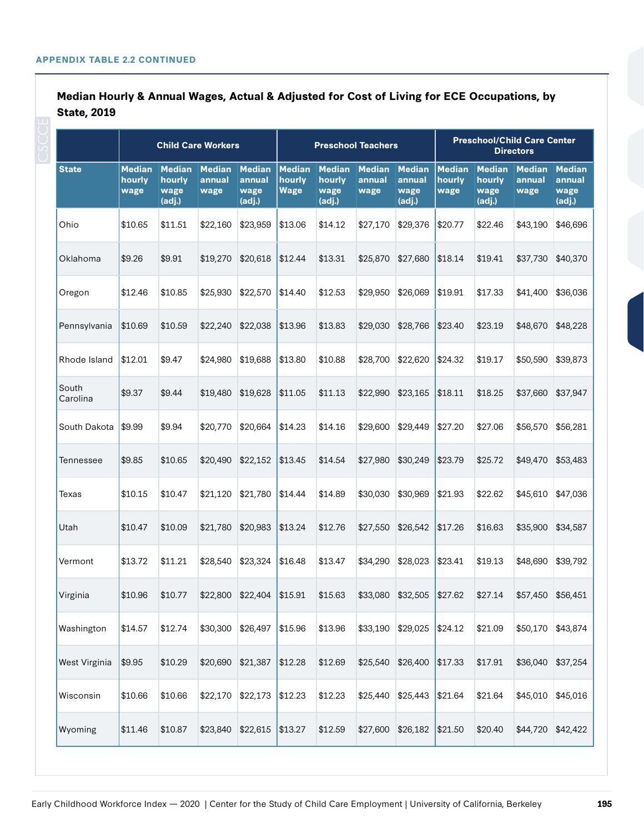|                   |                                 | <b>Child Care Workers</b>                 |                                 |                                           |                                 | <b>Preschool Teachers</b>                 |                                 |                                           | <b>Preschool/Child Care Center</b><br><b>Directors</b> |                                           |                                 |                                           |  |
|-------------------|---------------------------------|-------------------------------------------|---------------------------------|-------------------------------------------|---------------------------------|-------------------------------------------|---------------------------------|-------------------------------------------|--------------------------------------------------------|-------------------------------------------|---------------------------------|-------------------------------------------|--|
| <b>State</b>      | <b>Median</b><br>hourly<br>wage | <b>Median</b><br>hourly<br>wage<br>(adj.) | <b>Median</b><br>annual<br>wage | <b>Median</b><br>annual<br>wage<br>(adj.) | <b>Median</b><br>hourly<br>Wage | <b>Median</b><br>hourly<br>wage<br>(adj.) | <b>Median</b><br>annual<br>wage | <b>Median</b><br>annual<br>wage<br>(adj.) | <b>Median</b><br>hourly<br>wage                        | <b>Median</b><br>hourly<br>wage<br>(adj.) | <b>Median</b><br>annual<br>wage | <b>Median</b><br>annual<br>wage<br>(adj.) |  |
| Ohio              | \$10.65                         | \$11.51                                   | \$22,160                        | \$23,959                                  | \$13.06                         | \$14.12                                   | \$27,170                        | \$29,376                                  | \$20.77                                                | \$22.46                                   | \$43,190                        | \$46,696                                  |  |
| Oklahoma          | \$9.26                          | \$9.91                                    | \$19,270                        | \$20,618                                  | \$12.44                         | \$13.31                                   | \$25,870                        | \$27,680                                  | \$18.14                                                | \$19.41                                   | \$37,730                        | \$40,370                                  |  |
| Oregon            | \$12.46                         | \$10.85                                   | \$25,930                        | \$22,570                                  | \$14.40                         | \$12.53                                   | \$29,950                        | \$26,069                                  | \$19.91                                                | \$17.33                                   | \$41,400                        | \$36,036                                  |  |
| Pennsylvania      | \$10.69                         | \$10.59                                   | \$22,240                        | \$22,038                                  | \$13.96                         | \$13.83                                   | \$29,030                        | \$28,766                                  | \$23.40                                                | \$23.19                                   | \$48,670                        | \$48,228                                  |  |
| Rhode Island      | \$12.01                         | \$9.47                                    | \$24,980                        | \$19,688                                  | \$13.80                         | \$10.88                                   | \$28,700                        | \$22,620                                  | \$24.32                                                | \$19.17                                   | \$50,590                        | \$39,873                                  |  |
| South<br>Carolina | \$9.37                          | \$9.44                                    | \$19,480                        | \$19,628                                  | \$11.05                         | \$11.13                                   | \$22,990                        | \$23,165                                  | \$18.11                                                | \$18.25                                   | \$37,660                        | \$37,947                                  |  |
| South Dakota      | \$9.99                          | \$9.94                                    | \$20,770                        | \$20,664                                  | \$14.23                         | \$14.16                                   | \$29,600                        | \$29,449                                  | \$27.20                                                | \$27.06                                   | \$56,570                        | \$56,281                                  |  |
| Tennessee         | \$9.85                          | \$10.65                                   | \$20,490                        | \$22,152                                  | \$13.45                         | \$14.54                                   | \$27,980                        | \$30,249                                  | \$23.79                                                | \$25.72                                   | \$49,470                        | \$53,483                                  |  |
| Texas             | \$10.15                         | \$10.47                                   | \$21,120                        | \$21,780                                  | \$14.44                         | \$14.89                                   | \$30,030                        | \$30,969                                  | \$21.93                                                | \$22.62                                   | \$45,610                        | \$47,036                                  |  |
| Utah              | \$10.47                         | \$10.09                                   | \$21,780                        | \$20,983                                  | \$13.24                         | \$12.76                                   | \$27,550                        | \$26,542                                  | \$17.26                                                | \$16.63                                   | \$35,900                        | \$34,587                                  |  |
| Vermont           | \$13.72                         | \$11.21                                   | \$28,540                        | \$23,324                                  | \$16.48                         | \$13.47                                   | \$34,290                        | \$28,023                                  | \$23.41                                                | \$19.13                                   | \$48,690                        | \$39,792                                  |  |
| Virginia          | \$10.96                         | \$10.77                                   | \$22,800                        | \$22,404                                  | \$15.91                         | \$15.63                                   | \$33,080                        | \$32,505                                  | \$27.62                                                | \$27.14                                   | \$57,450                        | \$56,451                                  |  |
| Washington        | \$14.57                         | \$12.74                                   | \$30,300                        | \$26,497                                  | \$15.96                         | \$13.96                                   | \$33,190                        | \$29,025                                  | \$24.12                                                | \$21.09                                   | \$50,170                        | \$43,874                                  |  |
| West Virginia     | \$9.95                          | \$10.29                                   | \$20,690                        | \$21,387                                  | \$12.28                         | \$12.69                                   | \$25,540                        | \$26,400                                  | \$17.33                                                | \$17.91                                   | \$36,040                        | \$37,254                                  |  |
| Wisconsin         | \$10.66                         | \$10.66                                   | \$22,170                        | \$22,173                                  | \$12.23                         | \$12.23                                   | \$25,440                        | \$25,443                                  | \$21.64                                                | \$21.64                                   | \$45,010                        | \$45,016                                  |  |
| Wyoming           | \$11.46                         | \$10.87                                   | \$23,840                        | \$22,615                                  | \$13.27                         | \$12.59                                   | \$27,600                        | \$26,182                                  | \$21.50                                                | \$20.40                                   | \$44,720                        | \$42,422                                  |  |